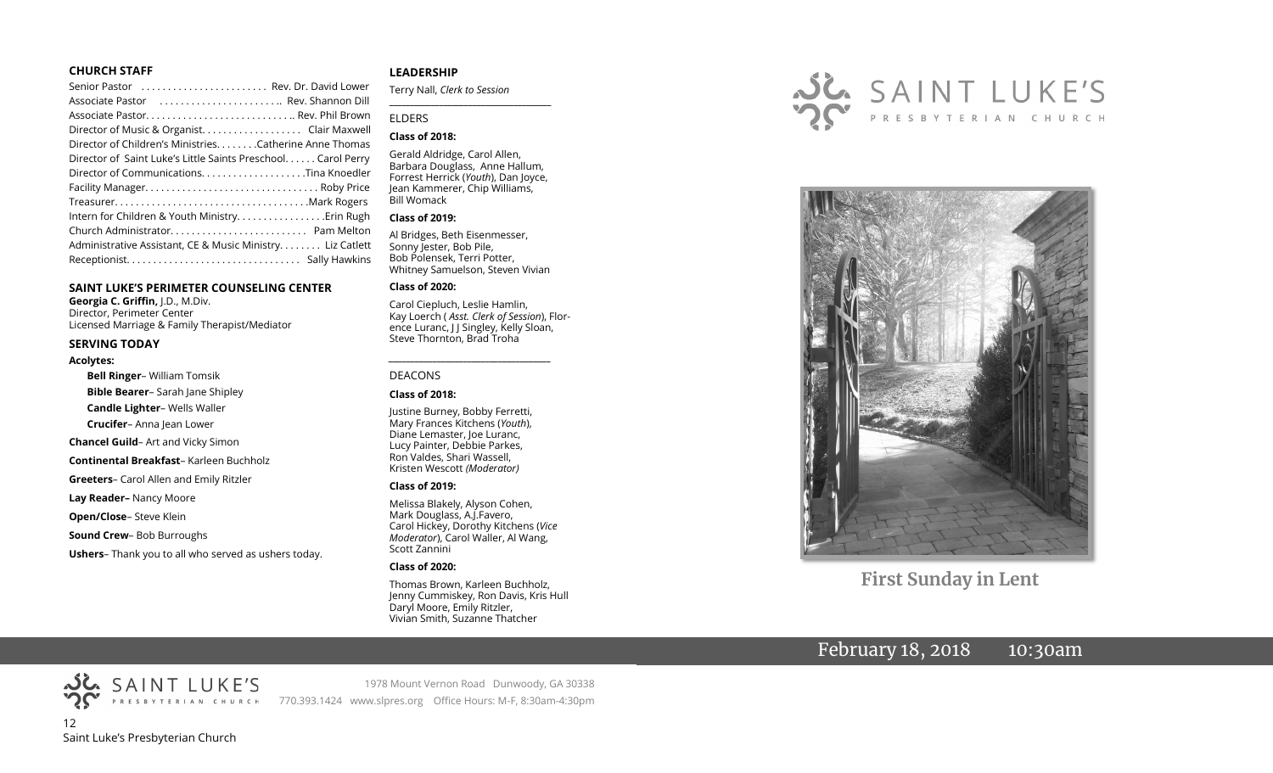#### **CHURCH STAFF**

| Senior Pastor  Rev. Dr. David Lower                          |  |
|--------------------------------------------------------------|--|
| Associate Pastor  Rev. Shannon Dill                          |  |
|                                                              |  |
|                                                              |  |
| Director of Children's Ministries. Catherine Anne Thomas     |  |
| Director of Saint Luke's Little Saints Preschool Carol Perry |  |
|                                                              |  |
|                                                              |  |
|                                                              |  |
|                                                              |  |
|                                                              |  |
| Administrative Assistant, CE & Music Ministry Liz Catlett    |  |
|                                                              |  |
|                                                              |  |

#### **SAINT LUKE'S PERIMETER COUNSELING CENTER**

**Georgia C. Griffin,** J.D., M.Div. Director, Perimeter Center Licensed Marriage & Family Therapist/Mediator

#### **SERVING TODAY**

#### **Acolytes:**

**Bell Ringer**– William Tomsik **Bible Bearer**– Sarah Jane Shipley **Candle Lighter**– Wells Waller **Crucifer**– Anna Jean Lower **Chancel Guild**– Art and Vicky Simon **Continental Breakfast**– Karleen Buchholz **Greeters**– Carol Allen and Emily Ritzler **Lay Reader–** Nancy Moore **Open/Close**– Steve Klein **Sound Crew**– Bob Burroughs **Ushers**– Thank you to all who served as ushers today.

#### **LEADERSHIP**

Terry Nall, *Clerk to Session* 

#### ELDERS

#### **Class of 2018:**

Gerald Aldridge, Carol Allen, Barbara Douglass, Anne Hallum, Forrest Herrick (*Youth*), Dan Joyce, Jean Kammerer, Chip Williams, Bill Womack

**\_\_\_\_\_\_\_\_\_\_\_\_\_\_\_\_\_\_\_\_\_\_\_\_\_\_\_\_\_\_\_\_\_\_\_\_\_\_\_**

#### **Class of 2019:**

Al Bridges, Beth Eisenmesser, Sonny Jester, Bob Pile, Bob Polensek, Terri Potter, Whitney Samuelson, Steven Vivian

#### **Class of 2020:**

Carol Ciepluch, Leslie Hamlin, Kay Loerch ( *Asst. Clerk of Session*), Florence Luranc, J J Singley, Kelly Sloan, Steve Thornton, Brad Troha

*\_\_\_\_\_\_\_\_\_\_\_\_\_\_\_\_\_\_\_\_\_\_\_\_\_\_\_\_\_\_\_\_\_\_\_\_\_*

#### DEACONS

#### **Class of 2018:**

Justine Burney, Bobby Ferretti, Mary Frances Kitchens (*Youth*), Diane Lemaster, Joe Luranc, Lucy Painter, Debbie Parkes, Ron Valdes, Shari Wassell, Kristen Wescott *(Moderator)*

#### **Class of 2019:**

Melissa Blakely, Alyson Cohen, Mark Douglass, A.J.Favero, Carol Hickey, Dorothy Kitchens (*Vice Moderator*), Carol Waller, Al Wang, Scott Zannini

#### **Class of 2020:**

770.393.1424 www.slpres.org Office Hours: M-F, 8:30am-4:30pm

Thomas Brown, Karleen Buchholz, Jenny Cummiskey, Ron Davis, Kris Hull Daryl Moore, Emily Ritzler, Vivian Smith, Suzanne Thatcher

1978 Mount Vernon Road Dunwoody, GA 30338





**First Sunday in Lent**

# February 18, 2018 10:30am

12 Saint Luke's Presbyterian Church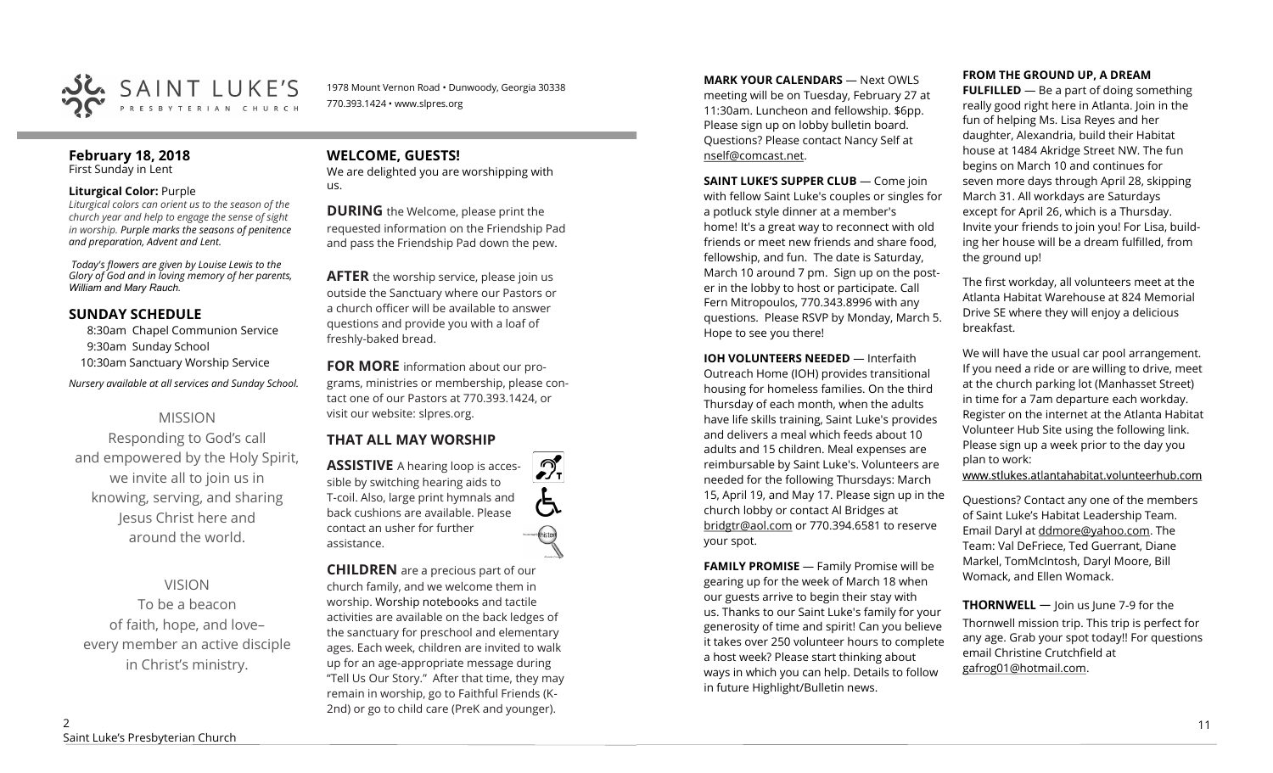

1978 Mount Vernon Road • Dunwoody, Georgia 30338 770.393.1424 • www.slpres.org

#### **February 18, 2018**  First Sunday in Lent

#### **Liturgical Color:** Purple

*Liturgical colors can orient us to the season of the church year and help to engage the sense of sight in worship. Purple marks the seasons of penitence and preparation, Advent and Lent.* 

*Today's flowers are given by Louise Lewis to the Glory of God and in loving memory of her parents, William and Mary Rauch.* 

## **SUNDAY SCHEDULE**

8:30am Chapel Communion Service 9:30am Sunday School 10:30am Sanctuary Worship Service

*Nursery available at all services and Sunday School.* 

# MISSION

Responding to God's call and empowered by the Holy Spirit, we invite all to join us in knowing, serving, and sharing Jesus Christ here and around the world.

# VISION

To be a beacon of faith, hope, and love– every member an active disciple in Christ's ministry.

# **WELCOME, GUESTS!**

We are delighted you are worshipping with us.

**DURING** the Welcome, please print the requested information on the Friendship Pad and pass the Friendship Pad down the pew.

**AFTER** the worship service, please join us outside the Sanctuary where our Pastors or a church officer will be available to answer questions and provide you with a loaf of freshly-baked bread.

**FOR MORE** information about our programs, ministries or membership, please contact one of our Pastors at 770.393.1424, or visit our website: slpres.org.

 $\mathcal{D}_{\mathbf{r}}$ 

thistex

# **THAT ALL MAY WORSHIP**

**ASSISTIVE** A hearing loop is accessible by switching hearing aids to T-coil. Also, large print hymnals and back cushions are available. Please contact an usher for further assistance.

**CHILDREN** are a precious part of our church family, and we welcome them in worship. Worship notebooks and tactile activities are available on the back ledges of the sanctuary for preschool and elementary ages. Each week, children are invited to walk up for an age-appropriate message during "Tell Us Our Story." After that time, they may remain in worship, go to Faithful Friends (K-2nd) or go to child care (PreK and younger).

**MARK YOUR CALENDARS** — Next OWLS meeting will be on Tuesday, February 27 at 11:30am. Luncheon and fellowship. \$6pp. Please sign up on lobby bulletin board. Questions? Please contact Nancy Self at nself@comcast.net.

**SAINT LUKE'S SUPPER CLUB** — Come join with fellow Saint Luke's couples or singles for a potluck style dinner at a member's home! It's a great way to reconnect with old friends or meet new friends and share food, fellowship, and fun. The date is Saturday, March 10 around 7 pm. Sign up on the poster in the lobby to host or participate. Call Fern Mitropoulos, 770.343.8996 with any questions. Please RSVP by Monday, March 5. Hope to see you there!

**IOH VOLUNTEERS NEEDED** — Interfaith Outreach Home (IOH) provides transitional housing for homeless families. On the third Thursday of each month, when the adults have life skills training, Saint Luke's provides and delivers a meal which feeds about 10 adults and 15 children. Meal expenses are reimbursable by Saint Luke's. Volunteers are needed for the following Thursdays: March 15, April 19, and May 17. Please sign up in the church lobby or contact Al Bridges at [bridgtr@aol.com](mailto:bridgtr@aol.com) or 770.394.6581 to reserve your spot.

**FAMILY PROMISE** - Family Promise will be gearing up for the week of March 18 when our guests arrive to begin their stay with us. Thanks to our Saint Luke's family for your generosity of time and spirit! Can you believe it takes over 250 volunteer hours to complete a host week? Please start thinking about ways in which you can help. Details to follow in future Highlight/Bulletin news.

#### **FROM THE GROUND UP, A DREAM**

**FULFILLED** — Be a part of doing something really good right here in Atlanta. Join in the fun of helping Ms. Lisa Reyes and her daughter, Alexandria, build their Habitat house at 1484 Akridge Street NW. The fun begins on March 10 and continues for seven more days through April 28, skipping March 31. All workdays are Saturdays except for April 26, which is a Thursday. Invite your friends to join you! For Lisa, building her house will be a dream fulfilled, from the ground up!

The first workday, all volunteers meet at the Atlanta Habitat Warehouse at 824 Memorial Drive SE where they will enjoy a delicious breakfast.

We will have the usual car pool arrangement. If you need a ride or are willing to drive, meet at the church parking lot (Manhasset Street) in time for a 7am departure each workday. Register on the internet at the Atlanta Habitat Volunteer Hub Site using the following link. Please sign up a week prior to the day you plan to work:

www.stlukes.atlantahabitat.volunteerhub.com

Questions? Contact any one of the members of Saint Luke's Habitat Leadership Team. Email Daryl at ddmore@yahoo.com. The Team: Val DeFriece, Ted Guerrant, Diane Markel, TomMcIntosh, Daryl Moore, Bill Womack, and Ellen Womack.

**THORNWELL** — Join us June 7-9 for the Thornwell mission trip. This trip is perfect for any age. Grab your spot today!! For questions email Christine Crutchfield at [gafrog01@hotmail.com.](mailto:gafrog01@hotmail.com)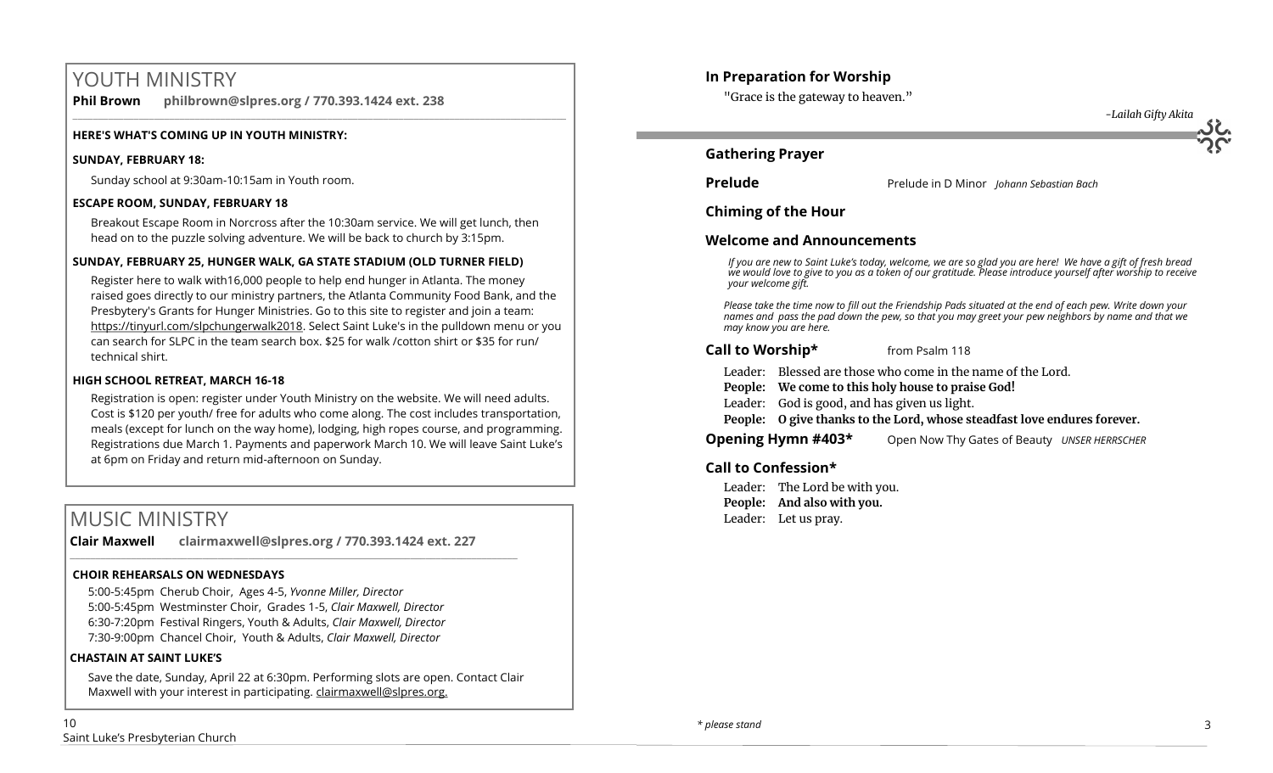# YOUTH MINISTRY

**Phil Brown philbrown@slpres.org / 770.393.1424 ext. 238** 

#### **HERE'S WHAT'S COMING UP IN YOUTH MINISTRY:**

#### **SUNDAY, FEBRUARY 18:**

Sunday school at 9:30am-10:15am in Youth room.

#### **ESCAPE ROOM, SUNDAY, FEBRUARY 18**

Breakout Escape Room in Norcross after the 10:30am service. We will get lunch, then head on to the puzzle solving adventure. We will be back to church by 3:15pm.

 $\_$  ,  $\_$  ,  $\_$  ,  $\_$  ,  $\_$  ,  $\_$  ,  $\_$  ,  $\_$  ,  $\_$  ,  $\_$  ,  $\_$  ,  $\_$  ,  $\_$  ,  $\_$  ,  $\_$  ,  $\_$  ,  $\_$  ,  $\_$  ,  $\_$  ,  $\_$ 

#### **SUNDAY, FEBRUARY 25, HUNGER WALK, GA STATE STADIUM (OLD TURNER FIELD)**

Register here to walk with16,000 people to help end hunger in Atlanta. The money raised goes directly to our ministry partners, the Atlanta Community Food Bank, and the Presbytery's Grants for Hunger Ministries. [Go to this site to register a](http://engage.acfb.org/site/TR/2018HungerWalk/General?fr_id=1856&pg=entry)nd join a team: https://tinyurl.com/slpchungerwalk2018. Select Saint Luke's in the pulldown menu or you can search for SLPC in the team search box. \$25 for walk /cotton shirt or \$35 for run/ technical shirt.

#### **HIGH SCHOOL RETREAT, MARCH 16-18**

Registration is open: register under Youth Ministry on the website. We will need adults. Cost is \$120 per youth/ free for adults who come along. The cost includes transportation, meals (except for lunch on the way home), lodging, high ropes course, and programming. Registrations due March 1. Payments and paperwork March 10. We will leave Saint Luke's at 6pm on Friday and return mid-afternoon on Sunday.

# MUSIC MINISTRY

**Clair Maxwell clairmaxwell@slpres.org / 770.393.1424 ext. 227** 

 $\_$  , and the set of the set of the set of the set of the set of the set of the set of the set of the set of the set of the set of the set of the set of the set of the set of the set of the set of the set of the set of th

#### **CHOIR REHEARSALS ON WEDNESDAYS**

5:00-5:45pm Cherub Choir, Ages 4-5, *Yvonne Miller, Director*  5:00-5:45pm Westminster Choir, Grades 1-5, *Clair Maxwell, Director*  6:30-7:20pm Festival Ringers, Youth & Adults, *Clair Maxwell, Director*  7:30-9:00pm Chancel Choir, Youth & Adults, *Clair Maxwell, Director* 

#### **CHASTAIN AT SAINT LUKE'S**

Save the date, Sunday, April 22 at 6:30pm. Performing slots are open. Contact Clair Maxwell with your interest in participating. clairmaxwell@slpres.org.

## **In Preparation for Worship**

"Grace is the gateway to heaven."



## **Gathering Prayer**

**Prelude** Prelude in D Minor *Johann Sebastian Bach* 

**Chiming of the Hour**

## **Welcome and Announcements**

*If you are new to Saint Luke's today, welcome, we are so glad you are here! We have a gift of fresh bread we would love to give to you as a token of our gratitude. Please introduce yourself after worship to receive your welcome gift.*

*Please take the time now to fill out the Friendship Pads situated at the end of each pew. Write down your names and pass the pad down the pew, so that you may greet your pew neighbors by name and that we may know you are here.*

#### **Call to Worship\*** from Psalm 118

Leader: Blessed are those who come in the name of the Lord.

**People: We come to this holy house to praise God!**

Leader: God is good, and has given us light.

**People: O give thanks to the Lord, whose steadfast love endures forever.**

**Opening Hymn #403\*** Open Now Thy Gates of Beauty *UNSER HERRSCHER*

## **Call to Confession\***

Leader: The Lord be with you. **People: And also with you.** Leader: Let us pray.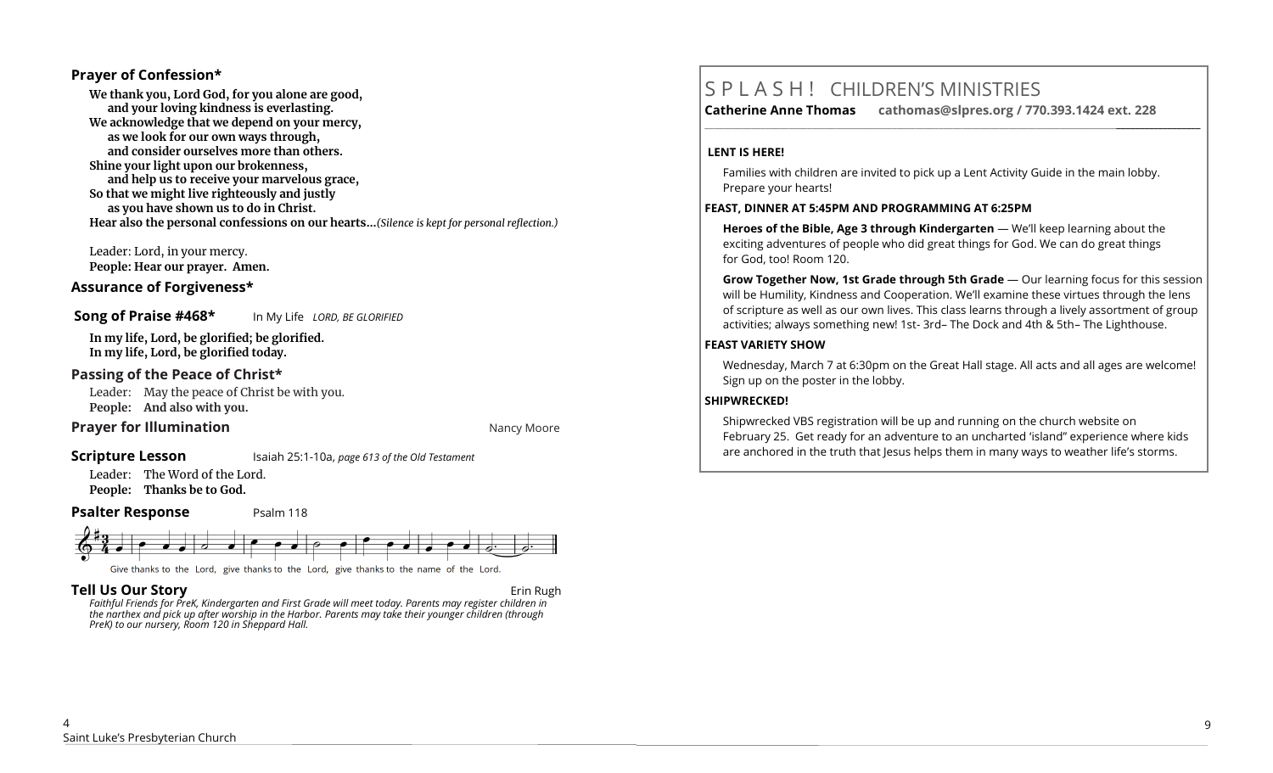#### **Prayer of Confession\***

**We thank you, Lord God, for you alone are good, and your loving kindness is everlasting. We acknowledge that we depend on your mercy, as we look for our own ways through, and consider ourselves more than others. Shine your light upon our brokenness, and help us to receive your marvelous grace, So that we might live righteously and justly as you have shown us to do in Christ. Hear also the personal confessions on our hearts…***(Silence is kept for personal reflection.)*

Leader: Lord, in your mercy. **People: Hear our prayer. Amen.**

#### **Assurance of Forgiveness\***

**Song of Praise #468\*** In My Life *LORD, BE GLORIFIED*

**In my life, Lord, be glorified; be glorified. In my life, Lord, be glorified today.**

#### **Passing of the Peace of Christ\***

Leader: May the peace of Christ be with you. **People: And also with you.**

# **Prayer for Illumination Nancy Moore Nancy Moore Nancy Moore**

#### **Scripture Lesson** Isaiah 25:1-10a, *page 613 of the Old Testament*

Leader: The Word of the Lord. **People: Thanks be to God.**

#### **Psalter Response** Psalm 118



**Tell Us Our Story Community Community Community Community Community Community Community Community Community Community Community Community Community Community Community Community Community Community Community Community Com** 

*Faithful Friends for PreK, Kindergarten and First Grade will meet today. Parents may register children in the narthex and pick up after worship in the Harbor. Parents may take their younger children (through PreK) to our nursery, Room 120 in Sheppard Hall.* 

# S P L A S H ! CHILDREN'S MINISTRIES

**Catherine Anne Thomas cathomas@slpres.org / 770.393.1424 ext. 228 \_\_\_\_\_\_\_\_\_\_\_\_\_\_\_\_\_\_\_\_\_\_\_\_\_\_\_\_\_\_\_\_\_\_\_\_\_\_\_\_\_\_\_\_\_\_\_\_\_\_\_\_\_\_\_\_\_\_\_\_\_\_\_\_\_\_\_\_\_\_\_\_\_\_\_\_\_\_\_\_\_\_\_\_\_\_\_\_\_\_\_\_\_\_\_\_\_\_\_\_\_\_\_\_\_\_** 

#### **LENT IS HERE!**

Families with children are invited to pick up a Lent Activity Guide in the main lobby. Prepare your hearts!

#### **FEAST, DINNER AT 5:45PM AND PROGRAMMING AT 6:25PM**

**Heroes of the Bible, Age 3 through Kindergarten** — We'll keep learning about the exciting adventures of people who did great things for God. We can do great things for God, too! Room 120.

**Grow Together Now, 1st Grade through 5th Grade** — Our learning focus for this session will be Humility, Kindness and Cooperation. We'll examine these virtues through the lens of scripture as well as our own lives. This class learns through a lively assortment of group activities; always something new! 1st- 3rd– The Dock and 4th & 5th– The Lighthouse.

#### **FEAST VARIETY SHOW**

Wednesday, March 7 at 6:30pm on the Great Hall stage. All acts and all ages are welcome! Sign up on the poster in the lobby.

#### **SHIPWRECKED!**

Shipwrecked VBS registration will be up and running on the church website on February 25. Get ready for an adventure to an uncharted 'island" experience where kids are anchored in the truth that Jesus helps them in many ways to weather life's storms.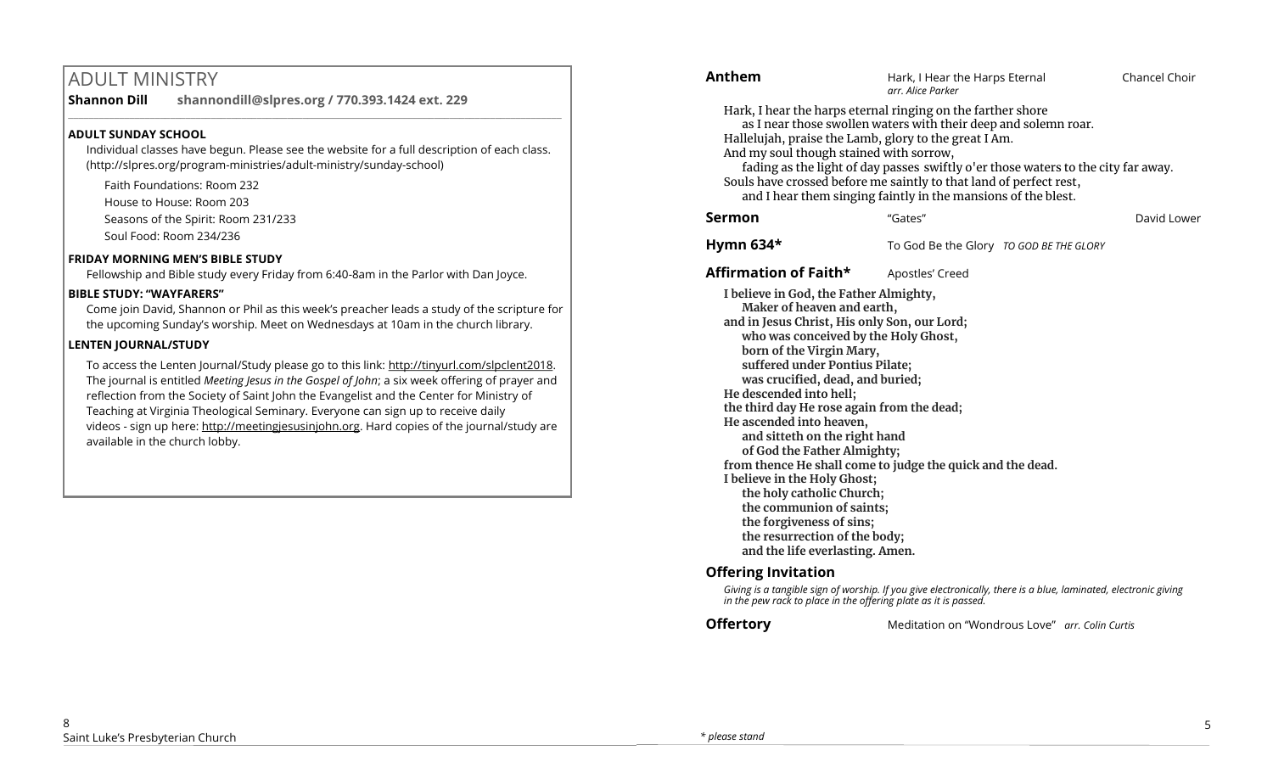# ADULT MINISTRY

**Shannon Dill shannondill@slpres.org / 770.393.1424 ext. 229** 

## **ADULT SUNDAY SCHOOL**

Individual classes have begun. Please see the website for a full description of each class. (http://slpres.org/program-ministries/adult-ministry/sunday-school)

 $\_$  ,  $\_$  ,  $\_$  ,  $\_$  ,  $\_$  ,  $\_$  ,  $\_$  ,  $\_$  ,  $\_$  ,  $\_$  ,  $\_$  ,  $\_$  ,  $\_$  ,  $\_$  ,  $\_$  ,  $\_$  ,  $\_$  ,  $\_$  ,  $\_$ 

Faith Foundations: Room 232 House to House: Room 203 Seasons of the Spirit: Room 231/233 Soul Food: Room 234/236

## **FRIDAY MORNING MEN'S BIBLE STUDY**

Fellowship and Bible study every Friday from 6:40-8am in the Parlor with Dan Joyce.

# **BIBLE STUDY: "WAYFARERS"**

Come join David, Shannon or Phil as this week's preacher leads a study of the scripture for the upcoming Sunday's worship. Meet on Wednesdays at 10am in the church library.

# **LENTEN JOURNAL/STUDY**

To access the Lenten Journal/Study please go to this link: http://tinyurl.com/slpclent2018. The journal is entitled *Meeting Jesus in the Gospel of John*; a six week offering of prayer and reflection from the Society of Saint John the Evangelist and the Center for Ministry of Teaching at Virginia Theological Seminary. Everyone can sign up to receive daily videos - sign up here: [http://meetingjesusinjohn.org.](http://meetingjesusinjohn.org/) Hard copies of the journal/study are available in the church lobby.

| Anthem                                                                                                                                                                                                                                                                                                                                                                                                                                                                                                                                                                                                                                                                                                            | Hark, I Hear the Harps Eternal<br>arr. Alice Parker | Chancel Choir |
|-------------------------------------------------------------------------------------------------------------------------------------------------------------------------------------------------------------------------------------------------------------------------------------------------------------------------------------------------------------------------------------------------------------------------------------------------------------------------------------------------------------------------------------------------------------------------------------------------------------------------------------------------------------------------------------------------------------------|-----------------------------------------------------|---------------|
| Hark, I hear the harps eternal ringing on the farther shore<br>as I near those swollen waters with their deep and solemn roar.<br>Hallelujah, praise the Lamb, glory to the great I Am.<br>And my soul though stained with sorrow,<br>fading as the light of day passes swiftly o'er those waters to the city far away.<br>Souls have crossed before me saintly to that land of perfect rest,<br>and I hear them singing faintly in the mansions of the blest.                                                                                                                                                                                                                                                    |                                                     |               |
| Sermon                                                                                                                                                                                                                                                                                                                                                                                                                                                                                                                                                                                                                                                                                                            | "Gates"                                             | David Lower   |
| Hymn 634*                                                                                                                                                                                                                                                                                                                                                                                                                                                                                                                                                                                                                                                                                                         | To God Be the Glory TO GOD BE THE GLORY             |               |
| <b>Affirmation of Faith*</b>                                                                                                                                                                                                                                                                                                                                                                                                                                                                                                                                                                                                                                                                                      | Apostles' Creed                                     |               |
| I believe in God, the Father Almighty,<br>Maker of heaven and earth,<br>and in Jesus Christ, His only Son, our Lord;<br>who was conceived by the Holy Ghost,<br>born of the Virgin Mary,<br>suffered under Pontius Pilate;<br>was crucified, dead, and buried;<br>He descended into hell;<br>the third day He rose again from the dead;<br>He ascended into heaven,<br>and sitteth on the right hand<br>of God the Father Almighty;<br>from thence He shall come to judge the quick and the dead.<br>I believe in the Holy Ghost;<br>the holy catholic Church;<br>the communion of saints;<br>the forgiveness of sins;<br>the resurrection of the body;<br>and the life everlasting. Amen.<br>Offering Invitation |                                                     |               |

# **Offering Invitation**

*Giving is a tangible sign of worship. If you give electronically, there is a blue, laminated, electronic giving in the pew rack to place in the offering plate as it is passed.*

**Offertory** Meditation on "Wondrous Love" *arr. Colin Curtis*